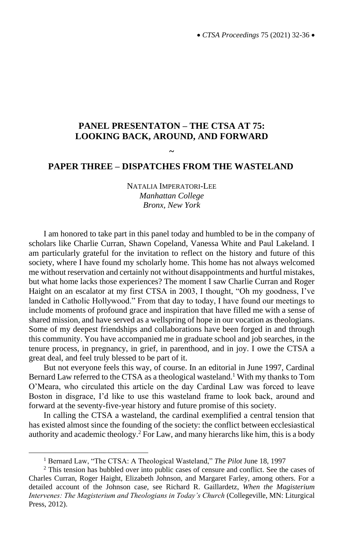## **PANEL PRESENTATON – THE CTSA AT 75: LOOKING BACK, AROUND, AND FORWARD**

## **~ PAPER THREE – DISPATCHES FROM THE WASTELAND**

NATALIA IMPERATORI-LEE *Manhattan College Bronx, New York*

I am honored to take part in this panel today and humbled to be in the company of scholars like Charlie Curran, Shawn Copeland, Vanessa White and Paul Lakeland. I am particularly grateful for the invitation to reflect on the history and future of this society, where I have found my scholarly home. This home has not always welcomed me without reservation and certainly not without disappointments and hurtful mistakes, but what home lacks those experiences? The moment I saw Charlie Curran and Roger Haight on an escalator at my first CTSA in 2003, I thought, "Oh my goodness, I've landed in Catholic Hollywood." From that day to today, I have found our meetings to include moments of profound grace and inspiration that have filled me with a sense of shared mission, and have served as a wellspring of hope in our vocation as theologians. Some of my deepest friendships and collaborations have been forged in and through this community. You have accompanied me in graduate school and job searches, in the tenure process, in pregnancy, in grief, in parenthood, and in joy. I owe the CTSA a great deal, and feel truly blessed to be part of it.

But not everyone feels this way, of course. In an editorial in June 1997, Cardinal Bernard Law referred to the CTSA as a theological wasteland.<sup>1</sup> With my thanks to Tom O'Meara, who circulated this article on the day Cardinal Law was forced to leave Boston in disgrace, I'd like to use this wasteland frame to look back, around and forward at the seventy-five-year history and future promise of this society.

In calling the CTSA a wasteland, the cardinal exemplified a central tension that has existed almost since the founding of the society: the conflict between ecclesiastical authority and academic theology.<sup>2</sup> For Law, and many hierarchs like him, this is a body

<sup>1</sup> Bernard Law, "The CTSA: A Theological Wasteland," *The Pilot* June 18, 1997

 $2$  This tension has bubbled over into public cases of censure and conflict. See the cases of Charles Curran, Roger Haight, Elizabeth Johnson, and Margaret Farley, among others. For a detailed account of the Johnson case, see Richard R. Gaillardetz, *When the Magisterium Intervenes: The Magisterium and Theologians in Today's Church* (Collegeville, MN: Liturgical Press, 2012).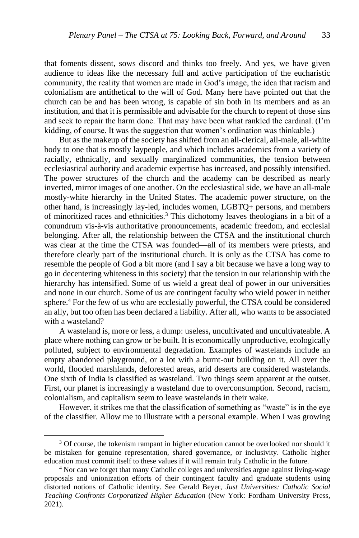that foments dissent, sows discord and thinks too freely. And yes, we have given audience to ideas like the necessary full and active participation of the eucharistic community, the reality that women are made in God's image, the idea that racism and colonialism are antithetical to the will of God. Many here have pointed out that the church can be and has been wrong, is capable of sin both in its members and as an institution, and that it is permissible and advisable for the church to repent of those sins and seek to repair the harm done. That may have been what rankled the cardinal. (I'm kidding, of course. It was the suggestion that women's ordination was thinkable.)

But as the makeup of the society has shifted from an all-clerical, all-male, all-white body to one that is mostly laypeople, and which includes academics from a variety of racially, ethnically, and sexually marginalized communities, the tension between ecclesiastical authority and academic expertise has increased, and possibly intensified. The power structures of the church and the academy can be described as nearly inverted, mirror images of one another. On the ecclesiastical side, we have an all-male mostly-white hierarchy in the United States. The academic power structure, on the other hand, is increasingly lay-led, includes women, LGBTQ+ persons, and members of minoritized races and ethnicities.<sup>3</sup> This dichotomy leaves theologians in a bit of a conundrum vis-à-vis authoritative pronouncements, academic freedom, and ecclesial belonging. After all, the relationship between the CTSA and the institutional church was clear at the time the CTSA was founded—all of its members were priests, and therefore clearly part of the institutional church. It is only as the CTSA has come to resemble the people of God a bit more (and I say a bit because we have a long way to go in decentering whiteness in this society) that the tension in our relationship with the hierarchy has intensified. Some of us wield a great deal of power in our universities and none in our church. Some of us are contingent faculty who wield power in neither sphere.<sup>4</sup> For the few of us who are ecclesially powerful, the CTSA could be considered an ally, but too often has been declared a liability. After all, who wants to be associated with a wasteland?

A wasteland is, more or less, a dump: useless, uncultivated and uncultivateable. A place where nothing can grow or be built. It is economically unproductive, ecologically polluted, subject to environmental degradation. Examples of wastelands include an empty abandoned playground, or a lot with a burnt-out building on it. All over the world, flooded marshlands, deforested areas, arid deserts are considered wastelands. One sixth of India is classified as wasteland. Two things seem apparent at the outset. First, our planet is increasingly a wasteland due to overconsumption. Second, racism, colonialism, and capitalism seem to leave wastelands in their wake.

However, it strikes me that the classification of something as "waste" is in the eye of the classifier. Allow me to illustrate with a personal example. When I was growing

<sup>&</sup>lt;sup>3</sup> Of course, the tokenism rampant in higher education cannot be overlooked nor should it be mistaken for genuine representation, shared governance, or inclusivity. Catholic higher education must commit itself to these values if it will remain truly Catholic in the future.

<sup>4</sup> Nor can we forget that many Catholic colleges and universities argue against living-wage proposals and unionization efforts of their contingent faculty and graduate students using distorted notions of Catholic identity. See Gerald Beyer, *Just Universities: Catholic Social Teaching Confronts Corporatized Higher Education* (New York: Fordham University Press, 2021).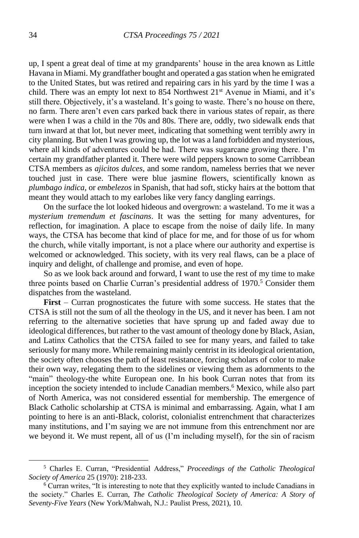up, I spent a great deal of time at my grandparents' house in the area known as Little Havana in Miami. My grandfather bought and operated a gas station when he emigrated to the United States, but was retired and repairing cars in his yard by the time I was a child. There was an empty lot next to 854 Northwest 21<sup>st</sup> Avenue in Miami, and it's still there. Objectively, it's a wasteland. It's going to waste. There's no house on there, no farm. There aren't even cars parked back there in various states of repair, as there were when I was a child in the 70s and 80s. There are, oddly, two sidewalk ends that turn inward at that lot, but never meet, indicating that something went terribly awry in city planning. But when I was growing up, the lot was a land forbidden and mysterious, where all kinds of adventures could be had. There was sugarcane growing there. I'm certain my grandfather planted it. There were wild peppers known to some Carribbean CTSA members as *ajicitos dulces*, and some random, nameless berries that we never touched just in case. There were blue jasmine flowers, scientifically known as *plumbago indica*, or *embelezos* in Spanish, that had soft, sticky hairs at the bottom that meant they would attach to my earlobes like very fancy dangling earrings.

On the surface the lot looked hideous and overgrown: a wasteland. To me it was a *mysterium tremendum et fascinans*. It was the setting for many adventures, for reflection, for imagination. A place to escape from the noise of daily life. In many ways, the CTSA has become that kind of place for me, and for those of us for whom the church, while vitally important, is not a place where our authority and expertise is welcomed or acknowledged. This society, with its very real flaws, can be a place of inquiry and delight, of challenge and promise, and even of hope.

So as we look back around and forward, I want to use the rest of my time to make three points based on Charlie Curran's presidential address of 1970.<sup>5</sup> Consider them dispatches from the wasteland.

**First** – Curran prognosticates the future with some success. He states that the CTSA is still not the sum of all the theology in the US, and it never has been. I am not referring to the alternative societies that have sprung up and faded away due to ideological differences, but rather to the vast amount of theology done by Black, Asian, and Latinx Catholics that the CTSA failed to see for many years, and failed to take seriously for many more. While remaining mainly centrist in its ideological orientation, the society often chooses the path of least resistance, forcing scholars of color to make their own way, relegating them to the sidelines or viewing them as adornments to the "main" theology-the white European one. In his book Curran notes that from its inception the society intended to include Canadian members.<sup>6</sup> Mexico, while also part of North America, was not considered essential for membership. The emergence of Black Catholic scholarship at CTSA is minimal and embarrassing. Again, what I am pointing to here is an anti-Black, colorist, colonialist entrenchment that characterizes many institutions, and I'm saying we are not immune from this entrenchment nor are we beyond it. We must repent, all of us (I'm including myself), for the sin of racism

<sup>5</sup> Charles E. Curran, "Presidential Address," *Proceedings of the Catholic Theological Society of America* 25 (1970): 218-233.

<sup>6</sup> Curran writes, "It is interesting to note that they explicitly wanted to include Canadians in the society." Charles E. Curran, *The Catholic Theological Society of America: A Story of Seventy-Five Years* (New York/Mahwah, N.J.: Paulist Press, 2021), 10.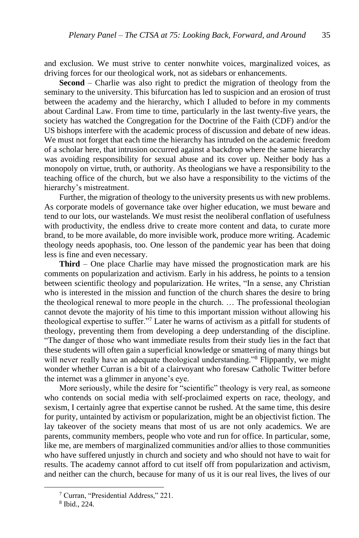and exclusion. We must strive to center nonwhite voices, marginalized voices, as driving forces for our theological work, not as sidebars or enhancements.

**Second** – Charlie was also right to predict the migration of theology from the seminary to the university. This bifurcation has led to suspicion and an erosion of trust between the academy and the hierarchy, which I alluded to before in my comments about Cardinal Law. From time to time, particularly in the last twenty-five years, the society has watched the Congregation for the Doctrine of the Faith (CDF) and/or the US bishops interfere with the academic process of discussion and debate of new ideas. We must not forget that each time the hierarchy has intruded on the academic freedom of a scholar here, that intrusion occurred against a backdrop where the same hierarchy was avoiding responsibility for sexual abuse and its cover up. Neither body has a monopoly on virtue, truth, or authority. As theologians we have a responsibility to the teaching office of the church, but we also have a responsibility to the victims of the hierarchy's mistreatment.

Further, the migration of theology to the university presents us with new problems. As corporate models of governance take over higher education, we must beware and tend to our lots, our wastelands. We must resist the neoliberal conflation of usefulness with productivity, the endless drive to create more content and data, to curate more brand, to be more available, do more invisible work, produce more writing. Academic theology needs apophasis, too. One lesson of the pandemic year has been that doing less is fine and even necessary.

**Third** – One place Charlie may have missed the prognostication mark are his comments on popularization and activism. Early in his address, he points to a tension between scientific theology and popularization. He writes, "In a sense, any Christian who is interested in the mission and function of the church shares the desire to bring the theological renewal to more people in the church. … The professional theologian cannot devote the majority of his time to this important mission without allowing his theological expertise to suffer."<sup>7</sup> Later he warns of activism as a pitfall for students of theology, preventing them from developing a deep understanding of the discipline. "The danger of those who want immediate results from their study lies in the fact that these students will often gain a superficial knowledge or smattering of many things but will never really have an adequate theological understanding."<sup>8</sup> Flippantly, we might wonder whether Curran is a bit of a clairvoyant who foresaw Catholic Twitter before the internet was a glimmer in anyone's eye.

More seriously, while the desire for "scientific" theology is very real, as someone who contends on social media with self-proclaimed experts on race, theology, and sexism, I certainly agree that expertise cannot be rushed. At the same time, this desire for purity, untainted by activism or popularization, might be an objectivist fiction. The lay takeover of the society means that most of us are not only academics. We are parents, community members, people who vote and run for office. In particular, some, like me, are members of marginalized communities and/or allies to those communities who have suffered unjustly in church and society and who should not have to wait for results. The academy cannot afford to cut itself off from popularization and activism, and neither can the church, because for many of us it is our real lives, the lives of our

<sup>7</sup> Curran, "Presidential Address," 221.

<sup>8</sup> Ibid., 224.